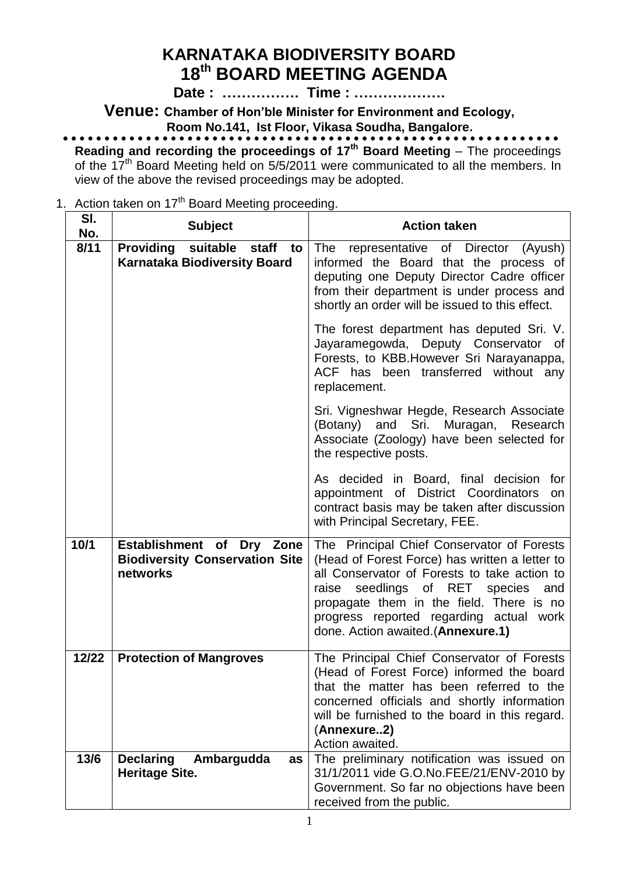# **KARNATAKA BIODIVERSITY BOARD 18 th BOARD MEETING AGENDA**

**Date : ……………. Time : ……………….**

**Venue: Chamber of Hon'ble Minister for Environment and Ecology,** 

 **Room No.141, Ist Floor, Vikasa Soudha, Bangalore.**

**Reading and recording the proceedings of 17 th Board Meeting** – The proceedings of the 17<sup>th</sup> Board Meeting held on 5/5/2011 were communicated to all the members. In view of the above the revised proceedings may be adopted.

1. Action taken on  $17<sup>th</sup>$  Board Meeting proceeding.

| SI.<br>No. | <b>Subject</b>                                                                  | <b>Action taken</b>                                                                                                                                                                                                                                                                                                   |
|------------|---------------------------------------------------------------------------------|-----------------------------------------------------------------------------------------------------------------------------------------------------------------------------------------------------------------------------------------------------------------------------------------------------------------------|
| 8/11       | <b>Providing</b><br>suitable<br>staff to<br><b>Karnataka Biodiversity Board</b> | representative of Director (Ayush)<br>The<br>informed the Board that the process of<br>deputing one Deputy Director Cadre officer<br>from their department is under process and<br>shortly an order will be issued to this effect.                                                                                    |
|            |                                                                                 | The forest department has deputed Sri. V.<br>Jayaramegowda, Deputy Conservator of<br>Forests, to KBB. However Sri Narayanappa,<br>ACF has been transferred without any<br>replacement.                                                                                                                                |
|            |                                                                                 | Sri. Vigneshwar Hegde, Research Associate<br>Sri.<br>Muragan, Research<br>(Botany) and<br>Associate (Zoology) have been selected for<br>the respective posts.                                                                                                                                                         |
|            |                                                                                 | As decided in Board, final decision for<br>appointment of District Coordinators<br>on<br>contract basis may be taken after discussion<br>with Principal Secretary, FEE.                                                                                                                                               |
| 10/1       | Establishment of Dry Zone<br><b>Biodiversity Conservation Site</b><br>networks  | The Principal Chief Conservator of Forests<br>(Head of Forest Force) has written a letter to<br>all Conservator of Forests to take action to<br>seedlings of RET species<br>raise<br>and<br>propagate them in the field. There is no<br>progress reported regarding actual work<br>done. Action awaited. (Annexure.1) |
| 12/22      | <b>Protection of Mangroves</b>                                                  | The Principal Chief Conservator of Forests<br>(Head of Forest Force) informed the board<br>that the matter has been referred to the<br>concerned officials and shortly information<br>will be furnished to the board in this regard.<br>(Annexure2)<br>Action awaited.                                                |
| 13/6       | <b>Declaring</b><br>Ambargudda<br>as<br><b>Heritage Site.</b>                   | The preliminary notification was issued on<br>31/1/2011 vide G.O.No.FEE/21/ENV-2010 by<br>Government. So far no objections have been<br>received from the public.                                                                                                                                                     |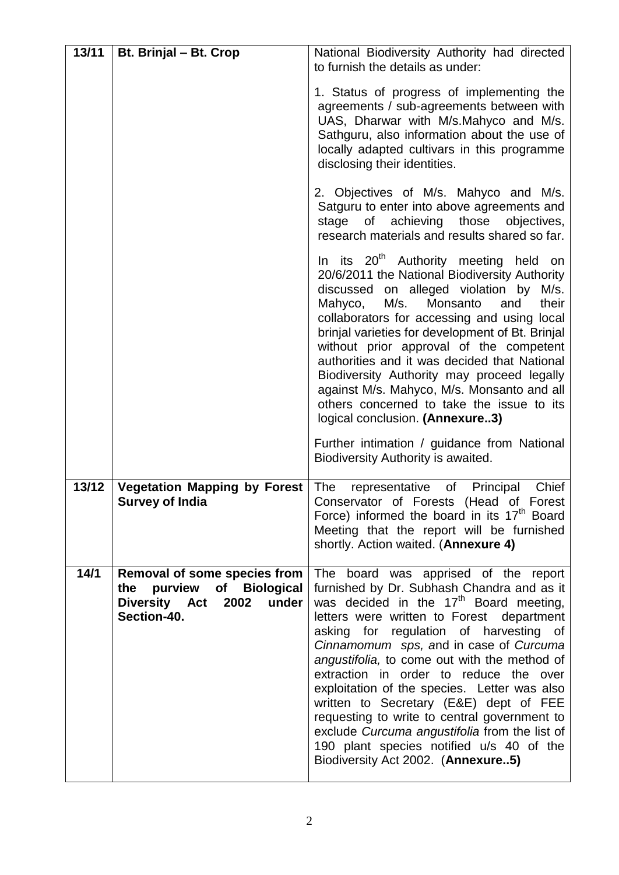| 13/11 | <b>Bt. Brinjal - Bt. Crop</b>                                                                                        | National Biodiversity Authority had directed<br>to furnish the details as under:                                                                                                                                                                                                                                                                                                                                                                                                                                                                                                                                                                    |
|-------|----------------------------------------------------------------------------------------------------------------------|-----------------------------------------------------------------------------------------------------------------------------------------------------------------------------------------------------------------------------------------------------------------------------------------------------------------------------------------------------------------------------------------------------------------------------------------------------------------------------------------------------------------------------------------------------------------------------------------------------------------------------------------------------|
|       |                                                                                                                      | 1. Status of progress of implementing the<br>agreements / sub-agreements between with<br>UAS, Dharwar with M/s.Mahyco and M/s.<br>Sathguru, also information about the use of<br>locally adapted cultivars in this programme<br>disclosing their identities.                                                                                                                                                                                                                                                                                                                                                                                        |
|       |                                                                                                                      | 2. Objectives of M/s. Mahyco and M/s.<br>Satguru to enter into above agreements and<br>stage of achieving those<br>objectives,<br>research materials and results shared so far.                                                                                                                                                                                                                                                                                                                                                                                                                                                                     |
|       |                                                                                                                      | In its 20 <sup>th</sup> Authority meeting held on<br>20/6/2011 the National Biodiversity Authority<br>discussed on alleged violation by M/s.<br>Mahyco,<br>M/s.<br>Monsanto<br>their<br>and<br>collaborators for accessing and using local<br>brinjal varieties for development of Bt. Brinjal<br>without prior approval of the competent<br>authorities and it was decided that National<br>Biodiversity Authority may proceed legally<br>against M/s. Mahyco, M/s. Monsanto and all<br>others concerned to take the issue to its<br>logical conclusion. (Annexure3)                                                                               |
|       |                                                                                                                      | Further intimation / guidance from National<br>Biodiversity Authority is awaited.                                                                                                                                                                                                                                                                                                                                                                                                                                                                                                                                                                   |
| 13/12 | Vegetation Mapping by Forest<br><b>Survey of India</b>                                                               | Chief<br>representative<br>The<br>of<br>Principal<br>Conservator of Forests<br>(Head of<br>Forest<br>Force) informed the board in its $17th$ Board<br>Meeting that the report will be furnished<br>shortly. Action waited. (Annexure 4)                                                                                                                                                                                                                                                                                                                                                                                                             |
| 14/1  | Removal of some species from<br>purview of Biological<br>the<br>2002<br><b>Diversity Act</b><br>under<br>Section-40. | The board was apprised of the report<br>furnished by Dr. Subhash Chandra and as it<br>was decided in the 17 <sup>th</sup> Board meeting,<br>letters were written to Forest<br>department<br>asking for regulation of harvesting of<br>Cinnamomum sps, and in case of Curcuma<br>angustifolia, to come out with the method of<br>extraction in order to reduce the over<br>exploitation of the species. Letter was also<br>written to Secretary (E&E) dept of FEE<br>requesting to write to central government to<br>exclude Curcuma angustifolia from the list of<br>190 plant species notified u/s 40 of the<br>Biodiversity Act 2002. (Annexure5) |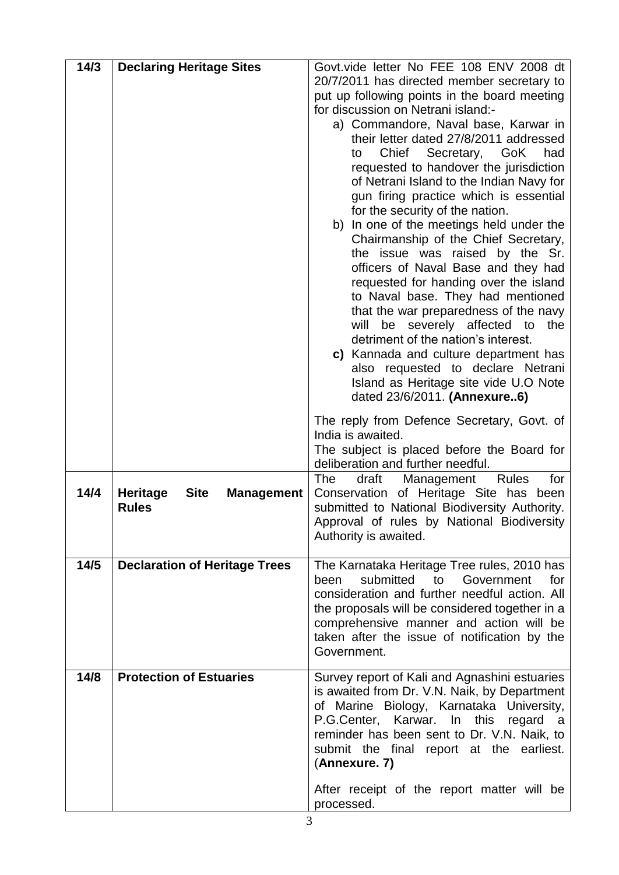| 14/3 | <b>Declaring Heritage Sites</b>                              | Govt. vide letter No FEE 108 ENV 2008 dt<br>20/7/2011 has directed member secretary to<br>put up following points in the board meeting<br>for discussion on Netrani island:-<br>a) Commandore, Naval base, Karwar in<br>their letter dated 27/8/2011 addressed<br>Secretary, GoK<br>Chief<br>had<br>to<br>requested to handover the jurisdiction<br>of Netrani Island to the Indian Navy for<br>gun firing practice which is essential<br>for the security of the nation.<br>b) In one of the meetings held under the<br>Chairmanship of the Chief Secretary,<br>the issue was raised by the Sr.<br>officers of Naval Base and they had<br>requested for handing over the island<br>to Naval base. They had mentioned<br>that the war preparedness of the navy<br>be severely affected to<br>will<br>the<br>detriment of the nation's interest.<br>c) Kannada and culture department has<br>also requested to declare Netrani<br>Island as Heritage site vide U.O Note<br>dated 23/6/2011. (Annexure6) |
|------|--------------------------------------------------------------|--------------------------------------------------------------------------------------------------------------------------------------------------------------------------------------------------------------------------------------------------------------------------------------------------------------------------------------------------------------------------------------------------------------------------------------------------------------------------------------------------------------------------------------------------------------------------------------------------------------------------------------------------------------------------------------------------------------------------------------------------------------------------------------------------------------------------------------------------------------------------------------------------------------------------------------------------------------------------------------------------------|
|      |                                                              | The reply from Defence Secretary, Govt. of<br>India is awaited.<br>The subject is placed before the Board for<br>deliberation and further needful.                                                                                                                                                                                                                                                                                                                                                                                                                                                                                                                                                                                                                                                                                                                                                                                                                                                     |
| 14/4 | <b>Heritage</b><br><b>Site</b><br>Management<br><b>Rules</b> | <b>The</b><br>for<br>draft<br><b>Rules</b><br>Management<br>Conservation of Heritage Site has been<br>submitted to National Biodiversity Authority.<br>Approval of rules by National Biodiversity<br>Authority is awaited.                                                                                                                                                                                                                                                                                                                                                                                                                                                                                                                                                                                                                                                                                                                                                                             |
| 14/5 | <b>Declaration of Heritage Trees</b>                         | The Karnataka Heritage Tree rules, 2010 has<br>submitted<br>to<br>Government<br>been<br>for<br>consideration and further needful action. All<br>the proposals will be considered together in a<br>comprehensive manner and action will be<br>taken after the issue of notification by the<br>Government.                                                                                                                                                                                                                                                                                                                                                                                                                                                                                                                                                                                                                                                                                               |
| 14/8 | <b>Protection of Estuaries</b>                               | Survey report of Kali and Agnashini estuaries<br>is awaited from Dr. V.N. Naik, by Department<br>of Marine Biology, Karnataka University,<br>P.G.Center, Karwar. In this<br>regard a<br>reminder has been sent to Dr. V.N. Naik, to<br>submit the final report at the earliest.<br>(Annexure. 7)<br>After receipt of the report matter will be                                                                                                                                                                                                                                                                                                                                                                                                                                                                                                                                                                                                                                                         |
|      |                                                              | processed.                                                                                                                                                                                                                                                                                                                                                                                                                                                                                                                                                                                                                                                                                                                                                                                                                                                                                                                                                                                             |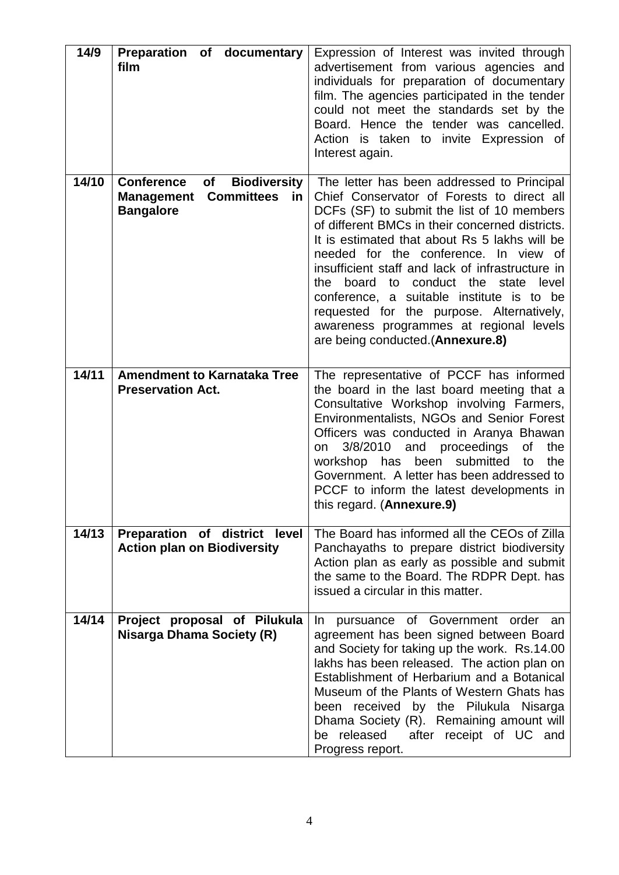| 14/9  | Preparation of documentary<br>film                                                                                  | Expression of Interest was invited through<br>advertisement from various agencies and<br>individuals for preparation of documentary<br>film. The agencies participated in the tender<br>could not meet the standards set by the<br>Board. Hence the tender was cancelled.<br>Action is taken to invite Expression of<br>Interest again.                                                                                                                                                                                                                         |
|-------|---------------------------------------------------------------------------------------------------------------------|-----------------------------------------------------------------------------------------------------------------------------------------------------------------------------------------------------------------------------------------------------------------------------------------------------------------------------------------------------------------------------------------------------------------------------------------------------------------------------------------------------------------------------------------------------------------|
| 14/10 | <b>Conference</b><br><b>Biodiversity</b><br>of<br><b>Committees</b><br><b>Management</b><br>in.<br><b>Bangalore</b> | The letter has been addressed to Principal<br>Chief Conservator of Forests to direct all<br>DCFs (SF) to submit the list of 10 members<br>of different BMCs in their concerned districts.<br>It is estimated that about Rs 5 lakhs will be<br>needed for the conference. In view of<br>insufficient staff and lack of infrastructure in<br>the<br>board to conduct the state<br>level<br>conference, a suitable institute is to be<br>requested for the purpose. Alternatively,<br>awareness programmes at regional levels<br>are being conducted. (Annexure.8) |
| 14/11 | <b>Amendment to Karnataka Tree</b><br><b>Preservation Act.</b>                                                      | The representative of PCCF has informed<br>the board in the last board meeting that a<br>Consultative Workshop involving Farmers,<br>Environmentalists, NGOs and Senior Forest<br>Officers was conducted in Aranya Bhawan<br>3/8/2010 and proceedings<br>of<br>the<br>on<br>workshop<br>has<br>been<br>submitted<br>the<br>to<br>Government. A letter has been addressed to<br>PCCF to inform the latest developments in<br>this regard. (Annexure.9)                                                                                                           |
| 14/13 | Preparation of district level<br><b>Action plan on Biodiversity</b>                                                 | The Board has informed all the CEOs of Zilla<br>Panchayaths to prepare district biodiversity<br>Action plan as early as possible and submit<br>the same to the Board. The RDPR Dept. has<br>issued a circular in this matter.                                                                                                                                                                                                                                                                                                                                   |
| 14/14 | Project proposal of Pilukula<br><b>Nisarga Dhama Society (R)</b>                                                    | pursuance of Government order an<br>In.<br>agreement has been signed between Board<br>and Society for taking up the work. Rs.14.00<br>lakhs has been released. The action plan on<br>Establishment of Herbarium and a Botanical<br>Museum of the Plants of Western Ghats has<br>been received by the Pilukula Nisarga<br>Dhama Society (R). Remaining amount will<br>released<br>after receipt of UC and<br>be<br>Progress report.                                                                                                                              |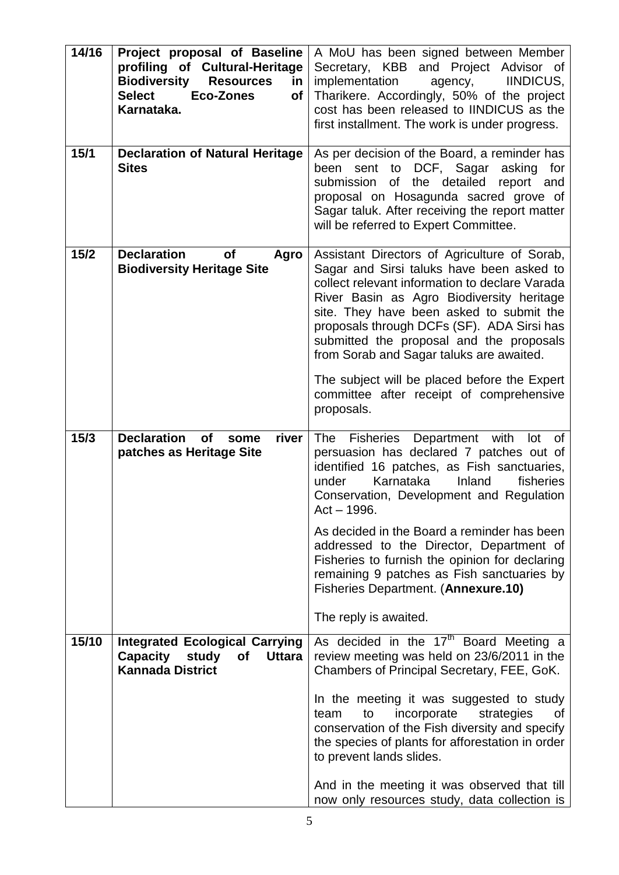| 14/16 | Project proposal of Baseline<br>profiling of Cultural-Heritage<br><b>Biodiversity</b><br><b>Resources</b><br>in<br><b>Select</b><br>Eco-Zones<br>of<br>Karnataka. | A MoU has been signed between Member<br>Secretary, KBB and Project Advisor of<br>implementation<br><b>IINDICUS,</b><br>agency,<br>Tharikere. Accordingly, 50% of the project<br>cost has been released to IINDICUS as the<br>first installment. The work is under progress.                                                                                                |
|-------|-------------------------------------------------------------------------------------------------------------------------------------------------------------------|----------------------------------------------------------------------------------------------------------------------------------------------------------------------------------------------------------------------------------------------------------------------------------------------------------------------------------------------------------------------------|
| 15/1  | <b>Declaration of Natural Heritage</b><br><b>Sites</b>                                                                                                            | As per decision of the Board, a reminder has<br>DCF, Sagar<br>sent to<br>asking<br>been<br>for<br>of the detailed<br>submission<br>report and<br>proposal on Hosagunda sacred grove of<br>Sagar taluk. After receiving the report matter<br>will be referred to Expert Committee.                                                                                          |
| 15/2  | <b>Declaration</b><br><b>of</b><br>Agro<br><b>Biodiversity Heritage Site</b>                                                                                      | Assistant Directors of Agriculture of Sorab,<br>Sagar and Sirsi taluks have been asked to<br>collect relevant information to declare Varada<br>River Basin as Agro Biodiversity heritage<br>site. They have been asked to submit the<br>proposals through DCFs (SF). ADA Sirsi has<br>submitted the proposal and the proposals<br>from Sorab and Sagar taluks are awaited. |
|       |                                                                                                                                                                   | The subject will be placed before the Expert<br>committee after receipt of comprehensive<br>proposals.                                                                                                                                                                                                                                                                     |
| 15/3  | <b>Declaration</b><br>river<br><b>of</b><br>some<br>patches as Heritage Site                                                                                      | <b>Fisheries</b><br>Department<br>with<br>The<br>lot of<br>persuasion has declared 7 patches out of<br>identified 16 patches, as Fish sanctuaries,<br>Karnataka<br>Inland<br>under<br>fisheries<br>Conservation, Development and Regulation<br>$Act - 1996.$                                                                                                               |
|       |                                                                                                                                                                   | As decided in the Board a reminder has been<br>addressed to the Director, Department of<br>Fisheries to furnish the opinion for declaring<br>remaining 9 patches as Fish sanctuaries by<br>Fisheries Department. (Annexure.10)                                                                                                                                             |
|       |                                                                                                                                                                   | The reply is awaited.                                                                                                                                                                                                                                                                                                                                                      |
| 15/10 | <b>Integrated Ecological Carrying</b><br>Capacity<br>study<br><b>of</b><br><b>Uttara</b><br><b>Kannada District</b>                                               | As decided in the 17 <sup>th</sup> Board Meeting a<br>review meeting was held on 23/6/2011 in the<br>Chambers of Principal Secretary, FEE, GoK.                                                                                                                                                                                                                            |
|       |                                                                                                                                                                   | In the meeting it was suggested to study<br>incorporate<br>strategies<br>team<br>to<br>οf<br>conservation of the Fish diversity and specify<br>the species of plants for afforestation in order<br>to prevent lands slides.                                                                                                                                                |
|       |                                                                                                                                                                   | And in the meeting it was observed that till<br>now only resources study, data collection is                                                                                                                                                                                                                                                                               |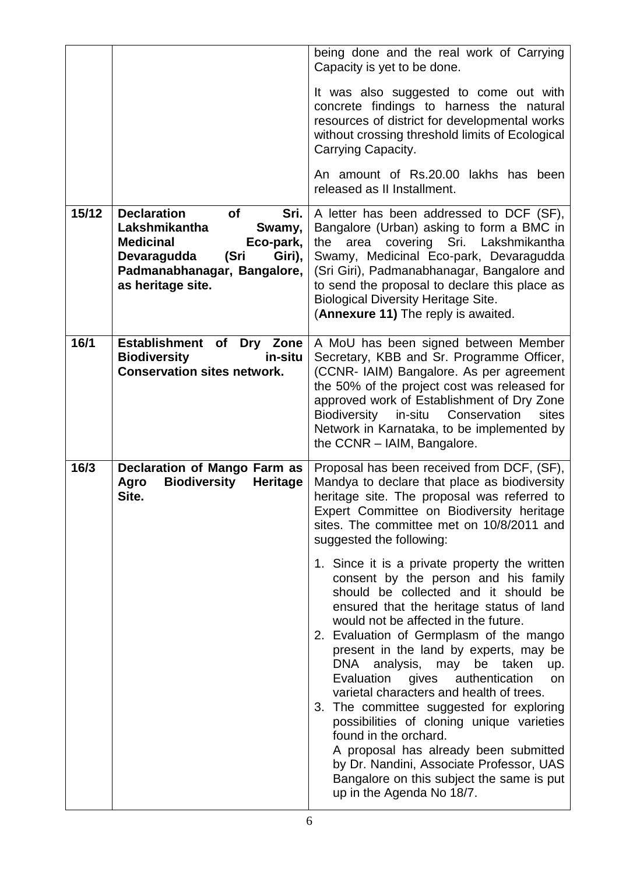|       |                                                                                                                                                                                          | being done and the real work of Carrying<br>Capacity is yet to be done.<br>It was also suggested to come out with<br>concrete findings to harness the natural<br>resources of district for developmental works<br>without crossing threshold limits of Ecological<br>Carrying Capacity.<br>An amount of Rs.20.00 lakhs has been<br>released as II Installment.                                                                                                                                                                                                                                                                                                      |
|-------|------------------------------------------------------------------------------------------------------------------------------------------------------------------------------------------|---------------------------------------------------------------------------------------------------------------------------------------------------------------------------------------------------------------------------------------------------------------------------------------------------------------------------------------------------------------------------------------------------------------------------------------------------------------------------------------------------------------------------------------------------------------------------------------------------------------------------------------------------------------------|
| 15/12 | <b>Declaration</b><br><b>of</b><br>Sri.<br>Lakshmikantha<br>Swamy,<br><b>Medicinal</b><br>Eco-park,<br>(Sri<br>Devaragudda<br>Giri),<br>Padmanabhanagar, Bangalore,<br>as heritage site. | A letter has been addressed to DCF (SF),<br>Bangalore (Urban) asking to form a BMC in<br>covering Sri. Lakshmikantha<br>the<br>area<br>Swamy, Medicinal Eco-park, Devaragudda<br>(Sri Giri), Padmanabhanagar, Bangalore and<br>to send the proposal to declare this place as<br><b>Biological Diversity Heritage Site.</b><br>(Annexure 11) The reply is awaited.                                                                                                                                                                                                                                                                                                   |
| 16/1  | Establishment of<br>Dry Zone<br>in-situ<br><b>Biodiversity</b><br><b>Conservation sites network.</b>                                                                                     | A MoU has been signed between Member<br>Secretary, KBB and Sr. Programme Officer,<br>(CCNR- IAIM) Bangalore. As per agreement<br>the 50% of the project cost was released for<br>approved work of Establishment of Dry Zone<br>in-situ Conservation<br>Biodiversity<br>sites<br>Network in Karnataka, to be implemented by<br>the CCNR - IAIM, Bangalore.                                                                                                                                                                                                                                                                                                           |
| 16/3  | <b>Declaration of Mango Farm as</b><br>Agro<br><b>Biodiversity</b><br><b>Heritage</b><br>Site.                                                                                           | Proposal has been received from DCF, (SF),<br>Mandya to declare that place as biodiversity<br>heritage site. The proposal was referred to<br>Expert Committee on Biodiversity heritage<br>sites. The committee met on 10/8/2011 and<br>suggested the following:<br>1. Since it is a private property the written                                                                                                                                                                                                                                                                                                                                                    |
|       |                                                                                                                                                                                          | consent by the person and his family<br>should be collected and it should be<br>ensured that the heritage status of land<br>would not be affected in the future.<br>2. Evaluation of Germplasm of the mango<br>present in the land by experts, may be<br>analysis, may be taken<br>DNA<br>up.<br>Evaluation gives authentication<br>on<br>varietal characters and health of trees.<br>3. The committee suggested for exploring<br>possibilities of cloning unique varieties<br>found in the orchard.<br>A proposal has already been submitted<br>by Dr. Nandini, Associate Professor, UAS<br>Bangalore on this subject the same is put<br>up in the Agenda No 18/7. |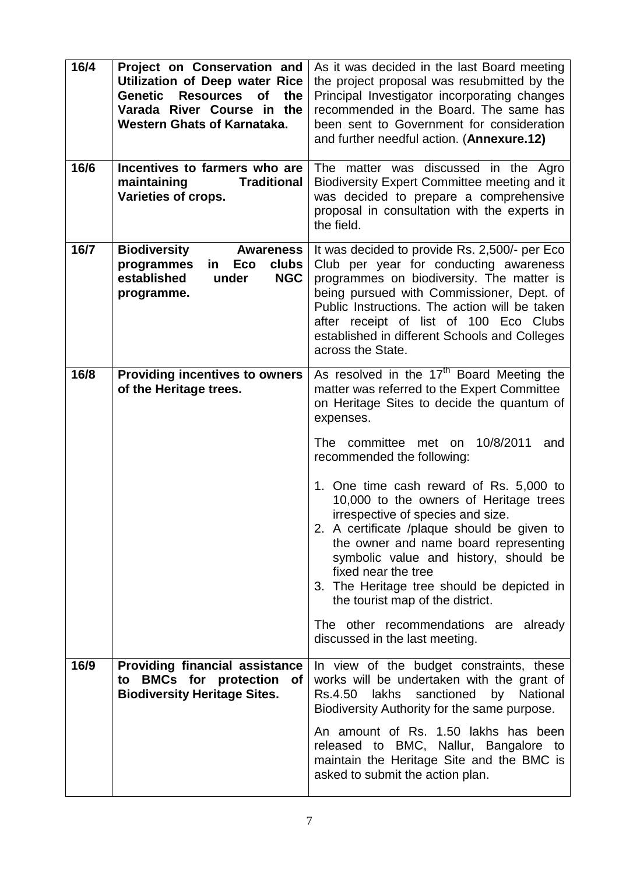| 16/4 | Project on Conservation and<br><b>Utilization of Deep water Rice</b><br><b>Genetic</b><br><b>Resources</b><br><b>of</b><br>the<br>Varada River Course in the<br><b>Western Ghats of Karnataka.</b> | As it was decided in the last Board meeting<br>the project proposal was resubmitted by the<br>Principal Investigator incorporating changes<br>recommended in the Board. The same has<br>been sent to Government for consideration<br>and further needful action. (Annexure.12)                                                                                                                                                                                                                                                                                                                                                                                                    |
|------|----------------------------------------------------------------------------------------------------------------------------------------------------------------------------------------------------|-----------------------------------------------------------------------------------------------------------------------------------------------------------------------------------------------------------------------------------------------------------------------------------------------------------------------------------------------------------------------------------------------------------------------------------------------------------------------------------------------------------------------------------------------------------------------------------------------------------------------------------------------------------------------------------|
| 16/6 | Incentives to farmers who are<br>maintaining<br><b>Traditional</b><br>Varieties of crops.                                                                                                          | The matter was discussed in the Agro<br>Biodiversity Expert Committee meeting and it<br>was decided to prepare a comprehensive<br>proposal in consultation with the experts in<br>the field.                                                                                                                                                                                                                                                                                                                                                                                                                                                                                      |
| 16/7 | <b>Biodiversity</b><br><b>Awareness</b><br>programmes<br>clubs<br>Eco<br>in.<br>established<br><b>NGC</b><br>under<br>programme.                                                                   | It was decided to provide Rs. 2,500/- per Eco<br>Club per year for conducting awareness<br>programmes on biodiversity. The matter is<br>being pursued with Commissioner, Dept. of<br>Public Instructions. The action will be taken<br>after receipt of list of 100 Eco Clubs<br>established in different Schools and Colleges<br>across the State.                                                                                                                                                                                                                                                                                                                                |
| 16/8 | <b>Providing incentives to owners</b><br>of the Heritage trees.                                                                                                                                    | As resolved in the $17th$ Board Meeting the<br>matter was referred to the Expert Committee<br>on Heritage Sites to decide the quantum of<br>expenses.<br>committee met on<br>10/8/2011<br>The<br>and<br>recommended the following:<br>1. One time cash reward of Rs. 5,000 to<br>10,000 to the owners of Heritage trees<br>irrespective of species and size.<br>2. A certificate /plaque should be given to<br>the owner and name board representing<br>symbolic value and history, should be<br>fixed near the tree<br>3. The Heritage tree should be depicted in<br>the tourist map of the district.<br>The other recommendations are already<br>discussed in the last meeting. |
| 16/9 | <b>Providing financial assistance</b><br><b>BMCs</b> for protection<br><b>of</b><br>to<br><b>Biodiversity Heritage Sites.</b>                                                                      | In view of the budget constraints, these<br>works will be undertaken with the grant of<br>sanctioned<br>Rs.4.50 lakhs<br>by National<br>Biodiversity Authority for the same purpose.<br>An amount of Rs. 1.50 lakhs has been<br>released to BMC, Nallur, Bangalore to<br>maintain the Heritage Site and the BMC is<br>asked to submit the action plan.                                                                                                                                                                                                                                                                                                                            |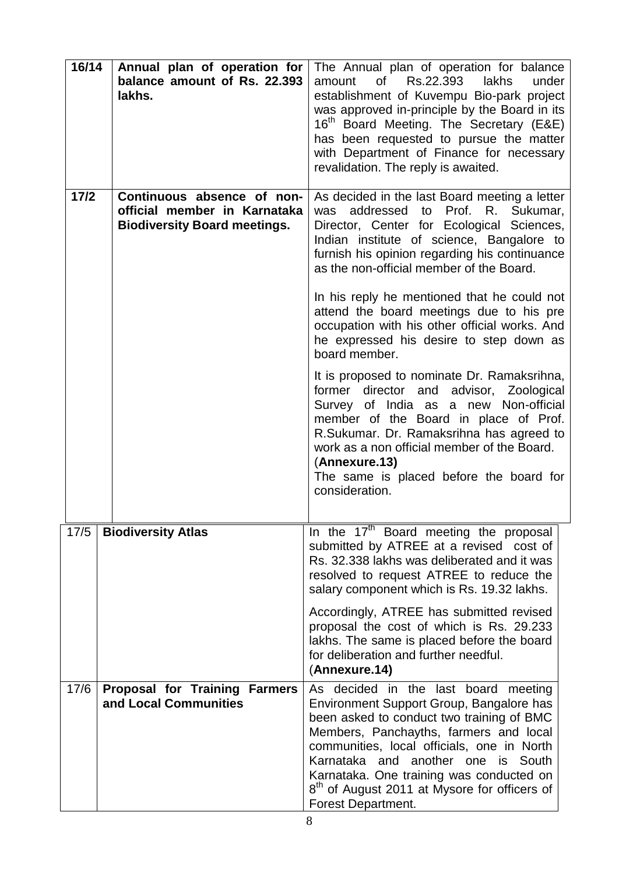| 16/14  | Annual plan of operation for<br>balance amount of Rs. 22.393<br>lakhs.                            | The Annual plan of operation for balance<br>0f<br>Rs.22.393<br>lakhs<br>under<br>amount<br>establishment of Kuvempu Bio-park project<br>was approved in-principle by the Board in its<br>16 <sup>th</sup> Board Meeting. The Secretary (E&E)<br>has been requested to pursue the matter<br>with Department of Finance for necessary<br>revalidation. The reply is awaited.                                                                                                                                                                                                                                                                                                                                                                                                                                                              |
|--------|---------------------------------------------------------------------------------------------------|-----------------------------------------------------------------------------------------------------------------------------------------------------------------------------------------------------------------------------------------------------------------------------------------------------------------------------------------------------------------------------------------------------------------------------------------------------------------------------------------------------------------------------------------------------------------------------------------------------------------------------------------------------------------------------------------------------------------------------------------------------------------------------------------------------------------------------------------|
| $17/2$ | Continuous absence of non-<br>official member in Karnataka<br><b>Biodiversity Board meetings.</b> | As decided in the last Board meeting a letter<br>was addressed to Prof. R. Sukumar,<br>Director, Center for Ecological Sciences,<br>Indian institute of science, Bangalore to<br>furnish his opinion regarding his continuance<br>as the non-official member of the Board.<br>In his reply he mentioned that he could not<br>attend the board meetings due to his pre<br>occupation with his other official works. And<br>he expressed his desire to step down as<br>board member.<br>It is proposed to nominate Dr. Ramaksrihna,<br>former director and advisor, Zoological<br>Survey of India as a new Non-official<br>member of the Board in place of Prof.<br>R.Sukumar. Dr. Ramaksrihna has agreed to<br>work as a non official member of the Board.<br>(Annexure.13)<br>The same is placed before the board for<br>consideration. |
| 17/5   | <b>Biodiversity Atlas</b>                                                                         | In the 17 <sup>th</sup> Board meeting the proposal<br>submitted by ATREE at a revised cost of<br>Rs. 32.338 lakhs was deliberated and it was<br>resolved to request ATREE to reduce the<br>salary component which is Rs. 19.32 lakhs.<br>Accordingly, ATREE has submitted revised<br>proposal the cost of which is Rs. 29.233<br>lakhs. The same is placed before the board<br>for deliberation and further needful.<br>(Annexure.14)                                                                                                                                                                                                                                                                                                                                                                                                   |
| 17/6   | <b>Proposal for Training Farmers</b><br>and Local Communities                                     | As decided in the last board meeting<br>Environment Support Group, Bangalore has<br>been asked to conduct two training of BMC<br>Members, Panchayths, farmers and local<br>communities, local officials, one in North<br>Karnataka and another one is South<br>Karnataka. One training was conducted on<br>8 <sup>th</sup> of August 2011 at Mysore for officers of<br>Forest Department.                                                                                                                                                                                                                                                                                                                                                                                                                                               |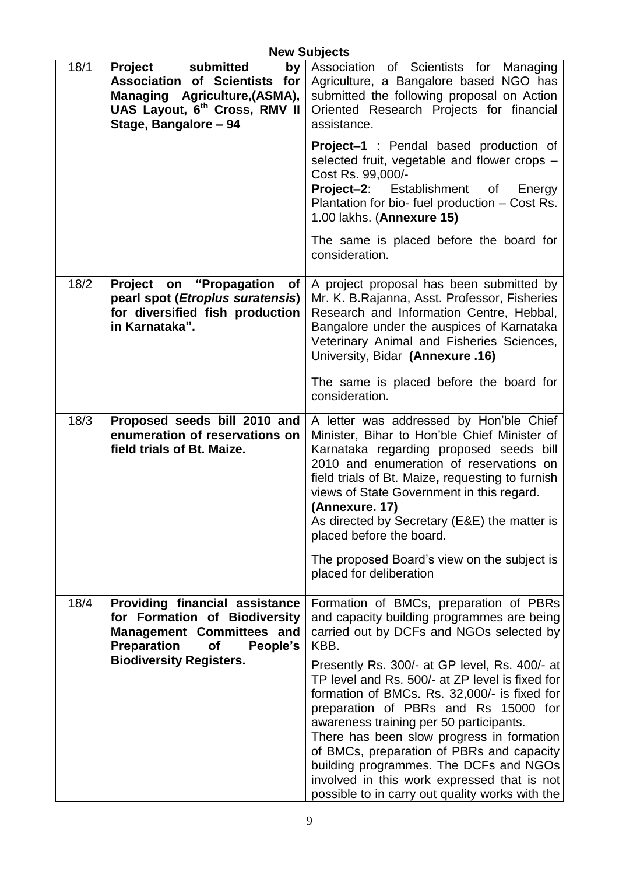|      |                                                                                                                                                                                  | <b>IACM ONDICATO</b>                                                                                                                                                                                                                                                                                                                                                                                                     |
|------|----------------------------------------------------------------------------------------------------------------------------------------------------------------------------------|--------------------------------------------------------------------------------------------------------------------------------------------------------------------------------------------------------------------------------------------------------------------------------------------------------------------------------------------------------------------------------------------------------------------------|
| 18/1 | <b>Project</b><br>submitted<br>by<br><b>Association of Scientists for</b><br>Managing Agriculture, (ASMA),<br>UAS Layout, 6 <sup>th</sup> Cross, RMV II<br>Stage, Bangalore - 94 | Association of Scientists for Managing<br>Agriculture, a Bangalore based NGO has<br>submitted the following proposal on Action<br>Oriented Research Projects for financial<br>assistance.                                                                                                                                                                                                                                |
|      |                                                                                                                                                                                  | Project-1 : Pendal based production of<br>selected fruit, vegetable and flower crops -<br>Cost Rs. 99,000/-<br><b>Project-2:</b> Establishment of<br>Energy<br>Plantation for bio- fuel production – Cost Rs.<br>1.00 lakhs. (Annexure 15)                                                                                                                                                                               |
|      |                                                                                                                                                                                  | The same is placed before the board for<br>consideration.                                                                                                                                                                                                                                                                                                                                                                |
| 18/2 | Project on "Propagation<br><b>of</b><br>pearl spot (Etroplus suratensis)<br>for diversified fish production<br>in Karnataka".                                                    | A project proposal has been submitted by<br>Mr. K. B. Rajanna, Asst. Professor, Fisheries<br>Research and Information Centre, Hebbal,<br>Bangalore under the auspices of Karnataka<br>Veterinary Animal and Fisheries Sciences,<br>University, Bidar (Annexure .16)                                                                                                                                                      |
|      |                                                                                                                                                                                  | The same is placed before the board for<br>consideration.                                                                                                                                                                                                                                                                                                                                                                |
| 18/3 | Proposed seeds bill 2010 and<br>enumeration of reservations on<br>field trials of Bt. Maize.                                                                                     | A letter was addressed by Hon'ble Chief<br>Minister, Bihar to Hon'ble Chief Minister of<br>Karnataka regarding proposed seeds bill<br>2010 and enumeration of reservations on<br>field trials of Bt. Maize, requesting to furnish<br>views of State Government in this regard.<br>(Annexure. 17)<br>As directed by Secretary (E&E) the matter is<br>placed before the board.                                             |
|      |                                                                                                                                                                                  | The proposed Board's view on the subject is<br>placed for deliberation                                                                                                                                                                                                                                                                                                                                                   |
| 18/4 | Providing financial assistance<br>for Formation of Biodiversity<br><b>Management Committees and</b><br>Preparation<br><b>of</b><br>People's<br><b>Biodiversity Registers.</b>    | Formation of BMCs, preparation of PBRs<br>and capacity building programmes are being<br>carried out by DCFs and NGOs selected by<br>KBB.<br>Presently Rs. 300/- at GP level, Rs. 400/- at                                                                                                                                                                                                                                |
|      |                                                                                                                                                                                  | TP level and Rs. 500/- at ZP level is fixed for<br>formation of BMCs. Rs. 32,000/- is fixed for<br>preparation of PBRs and Rs 15000 for<br>awareness training per 50 participants.<br>There has been slow progress in formation<br>of BMCs, preparation of PBRs and capacity<br>building programmes. The DCFs and NGOs<br>involved in this work expressed that is not<br>possible to in carry out quality works with the |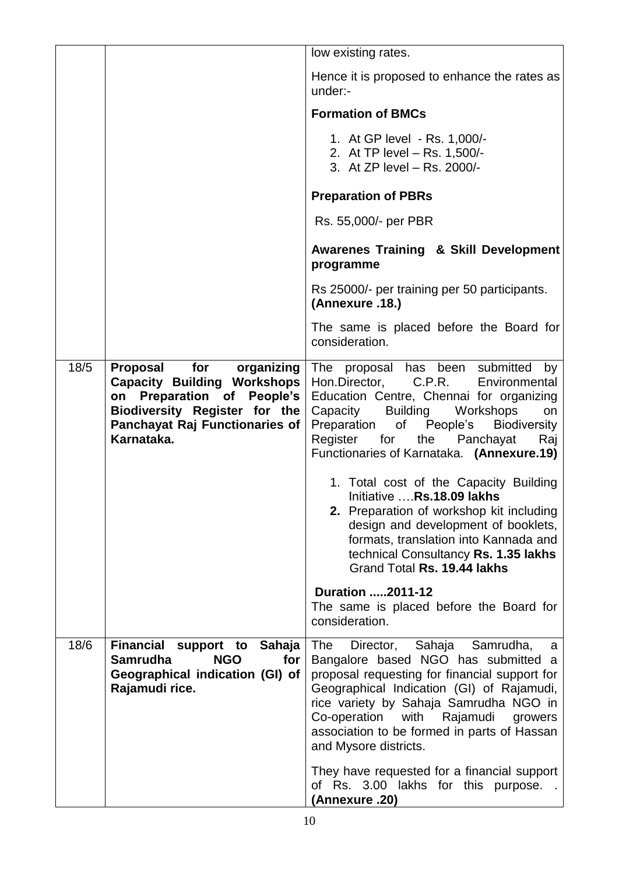|      |                                                                                                                                                                              | low existing rates.                                                                                                                                                                                                                                                                                                                                              |
|------|------------------------------------------------------------------------------------------------------------------------------------------------------------------------------|------------------------------------------------------------------------------------------------------------------------------------------------------------------------------------------------------------------------------------------------------------------------------------------------------------------------------------------------------------------|
|      |                                                                                                                                                                              | Hence it is proposed to enhance the rates as<br>under:-                                                                                                                                                                                                                                                                                                          |
|      |                                                                                                                                                                              | <b>Formation of BMCs</b>                                                                                                                                                                                                                                                                                                                                         |
|      |                                                                                                                                                                              | 1. At GP level - Rs. 1,000/-<br>2. At TP level - Rs. 1,500/-<br>3. At ZP level - Rs. 2000/-                                                                                                                                                                                                                                                                      |
|      |                                                                                                                                                                              | <b>Preparation of PBRs</b>                                                                                                                                                                                                                                                                                                                                       |
|      |                                                                                                                                                                              | Rs. 55,000/- per PBR                                                                                                                                                                                                                                                                                                                                             |
|      |                                                                                                                                                                              | <b>Awarenes Training &amp; Skill Development</b><br>programme                                                                                                                                                                                                                                                                                                    |
|      |                                                                                                                                                                              | Rs 25000/- per training per 50 participants.<br>(Annexure .18.)                                                                                                                                                                                                                                                                                                  |
|      |                                                                                                                                                                              | The same is placed before the Board for<br>consideration.                                                                                                                                                                                                                                                                                                        |
| 18/5 | Proposal for organizing<br>Capacity Building Workshops<br>on Preparation of People's<br>Biodiversity Register for the<br><b>Panchayat Raj Functionaries of</b><br>Karnataka. | The proposal has been submitted<br>by<br>Hon.Director, C.P.R.<br>Environmental<br>Education Centre, Chennai for organizing<br>Capacity Building Workshops<br>on<br>Preparation of People's Biodiversity<br>Register for the Panchayat<br>Raj<br>Functionaries of Karnataka. (Annexure.19)<br>1. Total cost of the Capacity Building<br>Initiative Rs.18.09 lakhs |
|      |                                                                                                                                                                              | 2. Preparation of workshop kit including<br>design and development of booklets,<br>formats, translation into Kannada and<br>technical Consultancy Rs. 1.35 lakhs<br>Grand Total Rs. 19.44 lakhs                                                                                                                                                                  |
|      |                                                                                                                                                                              | <b>Duration 2011-12</b><br>The same is placed before the Board for<br>consideration.                                                                                                                                                                                                                                                                             |
| 18/6 | Financial support to Sahaja<br><b>Samrudha</b><br><b>NGO</b><br>for<br>Geographical indication (GI) of<br>Rajamudi rice.                                                     | Director, Sahaja Samrudha,<br>The<br>a<br>Bangalore based NGO has submitted a<br>proposal requesting for financial support for<br>Geographical Indication (GI) of Rajamudi,<br>rice variety by Sahaja Samrudha NGO in<br>Co-operation<br>with<br>Rajamudi<br>growers<br>association to be formed in parts of Hassan<br>and Mysore districts.                     |
|      |                                                                                                                                                                              | They have requested for a financial support<br>of Rs. 3.00 lakhs for this purpose. .<br>(Annexure .20)                                                                                                                                                                                                                                                           |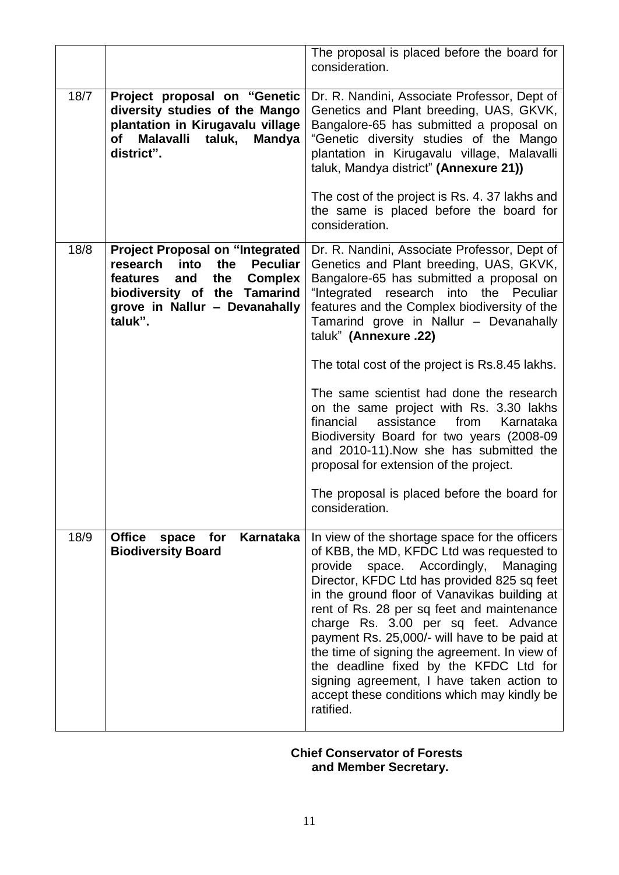|      |                                                                                                                                                                                                              | The proposal is placed before the board for<br>consideration.                                                                                                                                                                                                                                                                                                                                                                                                                                                                                                                   |
|------|--------------------------------------------------------------------------------------------------------------------------------------------------------------------------------------------------------------|---------------------------------------------------------------------------------------------------------------------------------------------------------------------------------------------------------------------------------------------------------------------------------------------------------------------------------------------------------------------------------------------------------------------------------------------------------------------------------------------------------------------------------------------------------------------------------|
| 18/7 | Project proposal on "Genetic<br>diversity studies of the Mango<br>plantation in Kirugavalu village<br>of<br>Malavalli taluk,<br><b>Mandya</b><br>district".                                                  | Dr. R. Nandini, Associate Professor, Dept of<br>Genetics and Plant breeding, UAS, GKVK,<br>Bangalore-65 has submitted a proposal on<br>"Genetic diversity studies of the Mango<br>plantation in Kirugavalu village, Malavalli<br>taluk, Mandya district" (Annexure 21))                                                                                                                                                                                                                                                                                                         |
|      |                                                                                                                                                                                                              | The cost of the project is Rs. 4. 37 lakhs and<br>the same is placed before the board for<br>consideration.                                                                                                                                                                                                                                                                                                                                                                                                                                                                     |
| 18/8 | <b>Project Proposal on "Integrated</b><br>the<br><b>Peculiar</b><br>research<br>into<br><b>Complex</b><br>and<br>the<br>features<br>biodiversity of the Tamarind<br>grove in Nallur - Devanahally<br>taluk". | Dr. R. Nandini, Associate Professor, Dept of<br>Genetics and Plant breeding, UAS, GKVK,<br>Bangalore-65 has submitted a proposal on<br>"Integrated research into<br>the Peculiar<br>features and the Complex biodiversity of the<br>Tamarind grove in Nallur - Devanahally<br>taluk" (Annexure .22)                                                                                                                                                                                                                                                                             |
|      |                                                                                                                                                                                                              | The total cost of the project is Rs.8.45 lakhs.                                                                                                                                                                                                                                                                                                                                                                                                                                                                                                                                 |
|      |                                                                                                                                                                                                              | The same scientist had done the research<br>on the same project with Rs. 3.30 lakhs<br>financial<br>assistance<br>from<br>Karnataka<br>Biodiversity Board for two years (2008-09<br>and 2010-11). Now she has submitted the<br>proposal for extension of the project.                                                                                                                                                                                                                                                                                                           |
|      |                                                                                                                                                                                                              | The proposal is placed before the board for<br>consideration.                                                                                                                                                                                                                                                                                                                                                                                                                                                                                                                   |
| 18/9 | <b>Office</b><br>Karnataka<br>for<br>space<br><b>Biodiversity Board</b>                                                                                                                                      | In view of the shortage space for the officers<br>of KBB, the MD, KFDC Ltd was requested to<br>provide space. Accordingly,<br>Managing<br>Director, KFDC Ltd has provided 825 sq feet<br>in the ground floor of Vanavikas building at<br>rent of Rs. 28 per sq feet and maintenance<br>charge Rs. 3.00 per sq feet. Advance<br>payment Rs. 25,000/- will have to be paid at<br>the time of signing the agreement. In view of<br>the deadline fixed by the KFDC Ltd for<br>signing agreement, I have taken action to<br>accept these conditions which may kindly be<br>ratified. |

#### **Chief Conservator of Forests and Member Secretary.**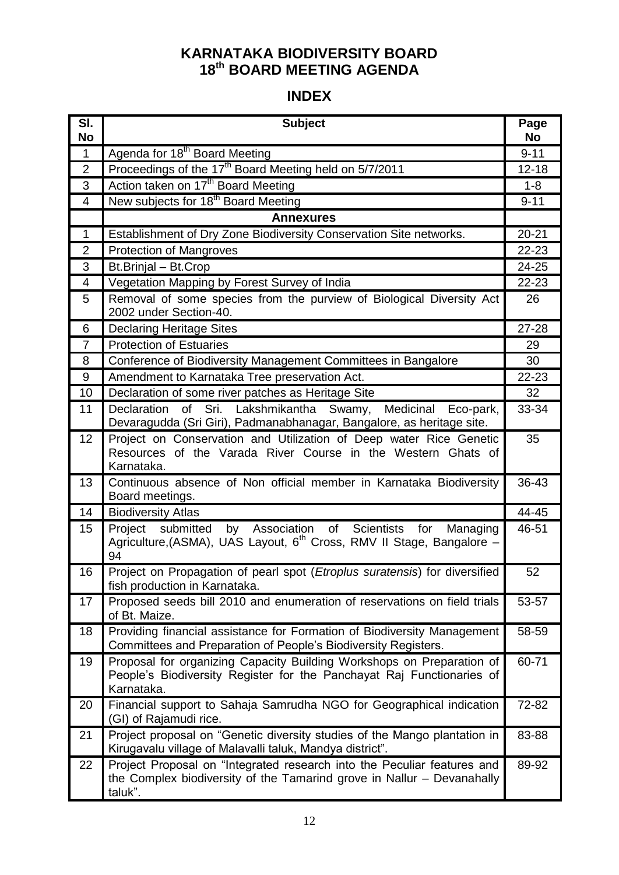### **KARNATAKA BIODIVERSITY BOARD 18 th BOARD MEETING AGENDA**

## **INDEX**

| $\overline{\mathsf{SI}}$ .<br><b>No</b> | <b>Subject</b>                                                                                                                                               | Page<br><b>No</b> |
|-----------------------------------------|--------------------------------------------------------------------------------------------------------------------------------------------------------------|-------------------|
| $\mathbf{1}$                            | Agenda for 18 <sup>th</sup> Board Meeting                                                                                                                    | $9 - 11$          |
| 2                                       | Proceedings of the 17 <sup>th</sup> Board Meeting held on 5/7/2011                                                                                           | $12 - 18$         |
| 3                                       | Action taken on 17 <sup>th</sup> Board Meeting                                                                                                               | $1 - 8$           |
| $\overline{4}$                          | New subjects for 18 <sup>th</sup> Board Meeting                                                                                                              | $9 - 11$          |
|                                         | <b>Annexures</b>                                                                                                                                             |                   |
| $\mathbf{1}$                            | Establishment of Dry Zone Biodiversity Conservation Site networks.                                                                                           | $20 - 21$         |
| $\overline{2}$                          | <b>Protection of Mangroves</b>                                                                                                                               | 22-23             |
| 3                                       | Bt.Brinjal - Bt.Crop                                                                                                                                         | 24-25             |
| 4                                       | Vegetation Mapping by Forest Survey of India                                                                                                                 | 22-23             |
| 5                                       | Removal of some species from the purview of Biological Diversity Act<br>2002 under Section-40.                                                               | 26                |
| 6                                       | <b>Declaring Heritage Sites</b>                                                                                                                              | 27-28             |
| $\overline{7}$                          | <b>Protection of Estuaries</b>                                                                                                                               | 29                |
| 8                                       | Conference of Biodiversity Management Committees in Bangalore                                                                                                | 30                |
| 9                                       | Amendment to Karnataka Tree preservation Act.                                                                                                                | $22 - 23$         |
| 10                                      | Declaration of some river patches as Heritage Site                                                                                                           | 32                |
| 11                                      | Declaration of Sri. Lakshmikantha Swamy,<br>Medicinal<br>Eco-park,<br>Devaragudda (Sri Giri), Padmanabhanagar, Bangalore, as heritage site.                  | 33-34             |
| 12 <sub>2</sub>                         | Project on Conservation and Utilization of Deep water Rice Genetic<br>Resources of the Varada River Course in the Western Ghats of<br>Karnataka.             | 35                |
| 13                                      | Continuous absence of Non official member in Karnataka Biodiversity<br>Board meetings.                                                                       | 36-43             |
| 14                                      | <b>Biodiversity Atlas</b>                                                                                                                                    | 44-45             |
| 15                                      | by Association of Scientists for<br>Project submitted<br>Managing<br>Agriculture, (ASMA), UAS Layout, 6 <sup>th</sup> Cross, RMV II Stage, Bangalore -<br>94 | 46-51             |
| 16                                      | Project on Propagation of pearl spot (Etroplus suratensis) for diversified<br>fish production in Karnataka.                                                  | 52                |
| 17                                      | Proposed seeds bill 2010 and enumeration of reservations on field trials<br>of Bt. Maize.                                                                    | 53-57             |
| 18                                      | Providing financial assistance for Formation of Biodiversity Management<br>Committees and Preparation of People's Biodiversity Registers.                    | 58-59             |
| 19                                      | Proposal for organizing Capacity Building Workshops on Preparation of<br>People's Biodiversity Register for the Panchayat Raj Functionaries of<br>Karnataka. | 60-71             |
| 20                                      | Financial support to Sahaja Samrudha NGO for Geographical indication<br>(GI) of Rajamudi rice.                                                               | 72-82             |
| 21                                      | Project proposal on "Genetic diversity studies of the Mango plantation in<br>Kirugavalu village of Malavalli taluk, Mandya district".                        | 83-88             |
| 22                                      | Project Proposal on "Integrated research into the Peculiar features and<br>the Complex biodiversity of the Tamarind grove in Nallur - Devanahally<br>taluk". | 89-92             |